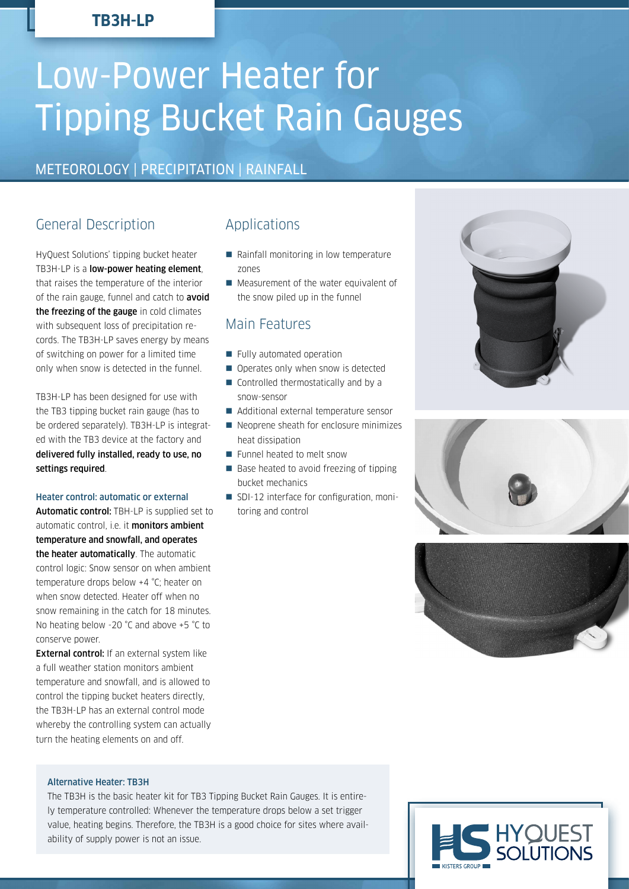# **TB3H-LP**

# Low-Power Heater for Tipping Bucket Rain Gauges

# METEOROLOGY | PRECIPITATION | RAINFALL

# General Description

HyQuest Solutions' tipping bucket heater TB3H-LP is a low-power heating element, that raises the temperature of the interior of the rain gauge, funnel and catch to **avoid** the freezing of the gauge in cold climates with subsequent loss of precipitation records. The TB3H-LP saves energy by means of switching on power for a limited time only when snow is detected in the funnel.

TB3H-LP has been designed for use with the TB3 tipping bucket rain gauge (has to be ordered separately). TB3H-LP is integrated with the TB3 device at the factory and delivered fully installed, ready to use, no settings required.

#### Heater control: automatic or external

Automatic control: TBH-LP is supplied set to automatic control, i.e. it **monitors ambient** temperature and snowfall, and operates the heater automatically. The automatic control logic: Snow sensor on when ambient temperature drops below +4 °C; heater on when snow detected. Heater off when no snow remaining in the catch for 18 minutes. No heating below -20 °C and above +5 °C to conserve power.

**External control:** If an external system like a full weather station monitors ambient temperature and snowfall, and is allowed to control the tipping bucket heaters directly, the TB3H-LP has an external control mode whereby the controlling system can actually turn the heating elements on and off.

## Applications

- Rainfall monitoring in low temperature zones
- **Measurement of the water equivalent of** the snow piled up in the funnel

## Main Features

- Fully automated operation
- Operates only when snow is detected
- Controlled thermostatically and by a snow-sensor
- Additional external temperature sensor
- Neoprene sheath for enclosure minimizes heat dissipation
- **Funnel heated to melt snow**
- Base heated to avoid freezing of tipping bucket mechanics
- SDI-12 interface for configuration, monitoring and control







#### Alternative Heater: TB3H

The TB3H is the basic heater kit for TB3 Tipping Bucket Rain Gauges. It is entirely temperature controlled: Whenever the temperature drops below a set trigger value, heating begins. Therefore, the TB3H is a good choice for sites where availability of supply power is not an issue.

HYQUEST<br>SOLUTIONS